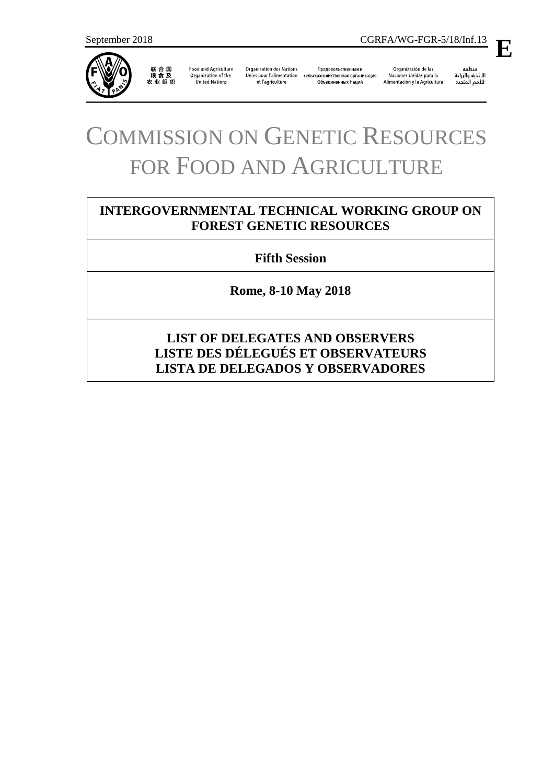

Food and Agriculture Organization of the<br>United Nations

Organisation des Nations Unies pour l'alimentation сельскохозяйственная организация et l'agriculture

Продовольственная и Объединенных Наций

Organización de las Naciones Unidas para la Alimentación y la Agricultura

منظمة سيسة<br>الأغذية والزراعة<br>للأمم المتددة

# COMMISSION ON GENETIC RESOURCES FOR FOOD AND AGRICULTURE

# **INTERGOVERNMENTAL TECHNICAL WORKING GROUP ON FOREST GENETIC RESOURCES**

# **Fifth Session**

**Rome, 8-10 May 2018**

# **LIST OF DELEGATES AND OBSERVERS LISTE DES DÉLEGUÉS ET OBSERVATEURS LISTA DE DELEGADOS Y OBSERVADORES**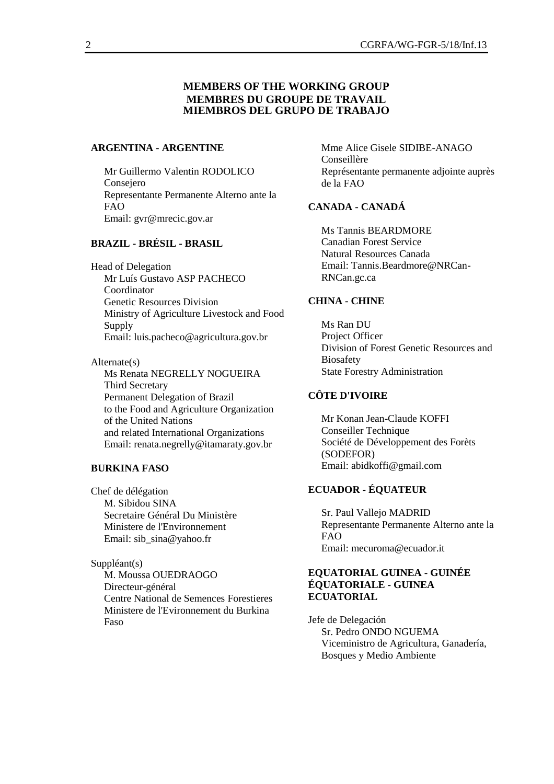## **MEMBERS OF THE WORKING GROUP MEMBRES DU GROUPE DE TRAVAIL MIEMBROS DEL GRUPO DE TRABAJO**

#### **ARGENTINA - ARGENTINE**

Mr Guillermo Valentin RODOLICO Consejero Representante Permanente Alterno ante la FAO Email: gvr@mrecic.gov.ar

# **BRAZIL - BRÉSIL - BRASIL**

Head of Delegation Mr Luís Gustavo ASP PACHECO Coordinator Genetic Resources Division Ministry of Agriculture Livestock and Food Supply Email: luis.pacheco@agricultura.gov.br

Alternate(s) Ms Renata NEGRELLY NOGUEIRA Third Secretary Permanent Delegation of Brazil to the Food and Agriculture Organization of the United Nations and related International Organizations Email: renata.negrelly@itamaraty.gov.br

#### **BURKINA FASO**

Chef de délégation M. Sibidou SINA Secretaire Général Du Ministère Ministere de l'Environnement Email: sib\_sina@yahoo.fr

Suppléant(s) M. Moussa OUEDRAOGO Directeur-général Centre National de Semences Forestieres Ministere de l'Evironnement du Burkina Faso

Mme Alice Gisele SIDIBE-ANAGO Conseillère Représentante permanente adjointe auprès de la FAO

#### **CANADA - CANADÁ**

Ms Tannis BEARDMORE Canadian Forest Service Natural Resources Canada Email: Tannis.Beardmore@NRCan-RNCan.gc.ca

#### **CHINA - CHINE**

Ms Ran DU Project Officer Division of Forest Genetic Resources and Biosafety State Forestry Administration

#### **CÔTE D'IVOIRE**

Mr Konan Jean-Claude KOFFI Conseiller Technique Société de Développement des Forèts (SODEFOR) Email: abidkoffi@gmail.com

## **ECUADOR - ÉQUATEUR**

Sr. Paul Vallejo MADRID Representante Permanente Alterno ante la FAO Email: mecuroma@ecuador.it

#### **EQUATORIAL GUINEA - GUINÉE ÉQUATORIALE - GUINEA ECUATORIAL**

Jefe de Delegación Sr. Pedro ONDO NGUEMA Viceministro de Agricultura, Ganadería, Bosques y Medio Ambiente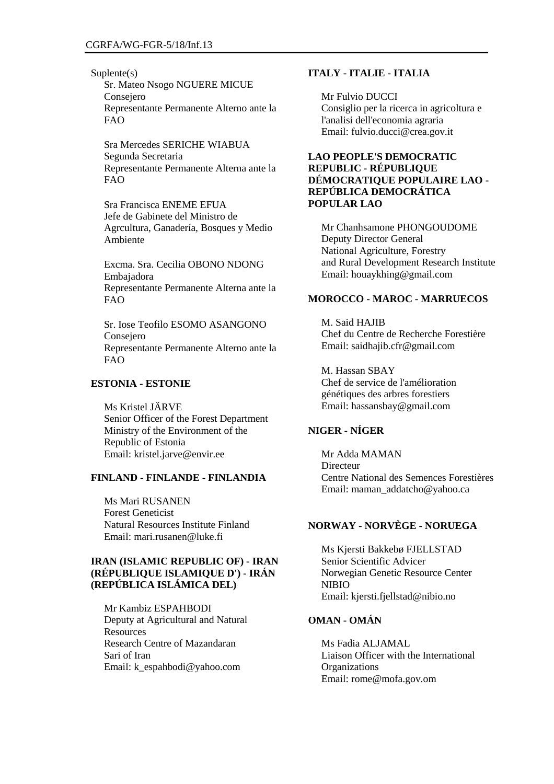Suplente(s)

Sr. Mateo Nsogo NGUERE MICUE Consejero Representante Permanente Alterno ante la FAO

Sra Mercedes SERICHE WIABUA Segunda Secretaria Representante Permanente Alterna ante la FAO

Sra Francisca ENEME EFUA Jefe de Gabinete del Ministro de Agrcultura, Ganadería, Bosques y Medio Ambiente

Excma. Sra. Cecilia OBONO NDONG Embajadora Representante Permanente Alterna ante la FAO

Sr. Iose Teofilo ESOMO ASANGONO Consejero Representante Permanente Alterno ante la FAO

# **ESTONIA - ESTONIE**

Ms Kristel JÄRVE Senior Officer of the Forest Department Ministry of the Environment of the Republic of Estonia Email: kristel.jarve@envir.ee

#### **FINLAND - FINLANDE - FINLANDIA**

Ms Mari RUSANEN Forest Geneticist Natural Resources Institute Finland Email: mari.rusanen@luke.fi

## **IRAN (ISLAMIC REPUBLIC OF) - IRAN (RÉPUBLIQUE ISLAMIQUE D') - IRÁN (REPÚBLICA ISLÁMICA DEL)**

Mr Kambiz ESPAHBODI Deputy at Agricultural and Natural **Resources** Research Centre of Mazandaran Sari of Iran Email: k\_espahbodi@yahoo.com

#### **ITALY - ITALIE - ITALIA**

Mr Fulvio DUCCI Consiglio per la ricerca in agricoltura e l'analisi dell'economia agraria Email: fulvio.ducci@crea.gov.it

#### **LAO PEOPLE'S DEMOCRATIC REPUBLIC - RÉPUBLIQUE DÉMOCRATIQUE POPULAIRE LAO - REPÚBLICA DEMOCRÁTICA POPULAR LAO**

Mr Chanhsamone PHONGOUDOME Deputy Director General National Agriculture, Forestry and Rural Development Research Institute Email: houaykhing@gmail.com

#### **MOROCCO - MAROC - MARRUECOS**

M. Said HAJIB Chef du Centre de Recherche Forestière Email: saidhajib.cfr@gmail.com

M. Hassan SBAY Chef de service de l'amélioration génétiques des arbres forestiers Email: hassansbay@gmail.com

# **NIGER - NÍGER**

Mr Adda MAMAN Directeur Centre National des Semences Forestières Email: maman\_addatcho@yahoo.ca

# **NORWAY - NORVÈGE - NORUEGA**

Ms Kjersti Bakkebø FJELLSTAD Senior Scientific Advicer Norwegian Genetic Resource Center NIBIO Email: kjersti.fjellstad@nibio.no

#### **OMAN - OMÁN**

Ms Fadia ALJAMAL Liaison Officer with the International **Organizations** Email: rome@mofa.gov.om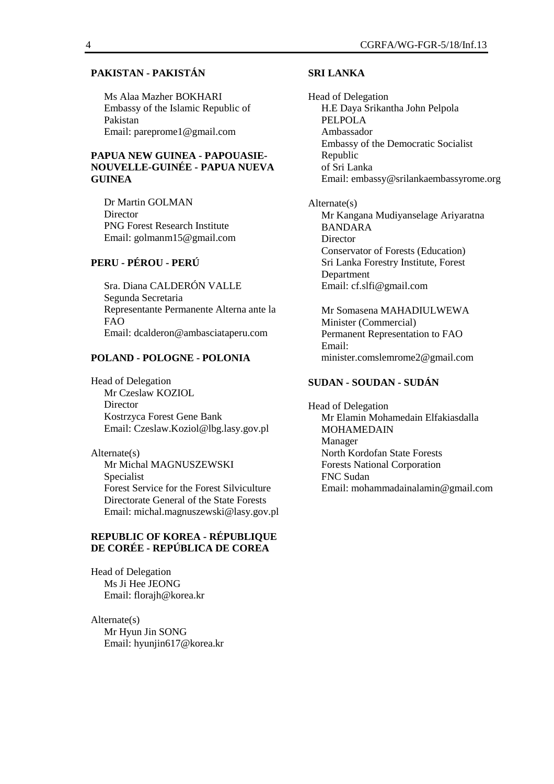#### **PAKISTAN - PAKISTÁN**

Ms Alaa Mazher BOKHARI Embassy of the Islamic Republic of Pakistan Email: pareprome1@gmail.com

#### **PAPUA NEW GUINEA - PAPOUASIE-NOUVELLE-GUINÉE - PAPUA NUEVA GUINEA**

Dr Martin GOLMAN **Director** PNG Forest Research Institute Email: golmanm15@gmail.com

# **PERU - PÉROU - PERÚ**

Sra. Diana CALDERÓN VALLE Segunda Secretaria Representante Permanente Alterna ante la FAO Email: dcalderon@ambasciataperu.com

#### **POLAND - POLOGNE - POLONIA**

Head of Delegation Mr Czeslaw KOZIOL **Director** Kostrzyca Forest Gene Bank Email: Czeslaw.Koziol@lbg.lasy.gov.pl

Alternate(s) Mr Michal MAGNUSZEWSKI Specialist Forest Service for the Forest Silviculture Directorate General of the State Forests Email: michal.magnuszewski@lasy.gov.pl

## **REPUBLIC OF KOREA - RÉPUBLIQUE DE CORÉE - REPÚBLICA DE COREA**

Head of Delegation Ms Ji Hee JEONG Email: florajh@korea.kr

Alternate(s) Mr Hyun Jin SONG Email: hyunjin617@korea.kr

#### **SRI LANKA**

Head of Delegation H.E Daya Srikantha John Pelpola PELPOLA Ambassador Embassy of the Democratic Socialist Republic of Sri Lanka Email: embassy@srilankaembassyrome.org

Alternate(s) Mr Kangana Mudiyanselage Ariyaratna BANDARA **Director** Conservator of Forests (Education) Sri Lanka Forestry Institute, Forest Department Email: cf.slfi@gmail.com

Mr Somasena MAHADIULWEWA Minister (Commercial) Permanent Representation to FAO Email: minister.comslemrome2@gmail.com

#### **SUDAN - SOUDAN - SUDÁN**

Head of Delegation Mr Elamin Mohamedain Elfakiasdalla MOHAMEDAIN Manager North Kordofan State Forests Forests National Corporation FNC Sudan Email: mohammadainalamin@gmail.com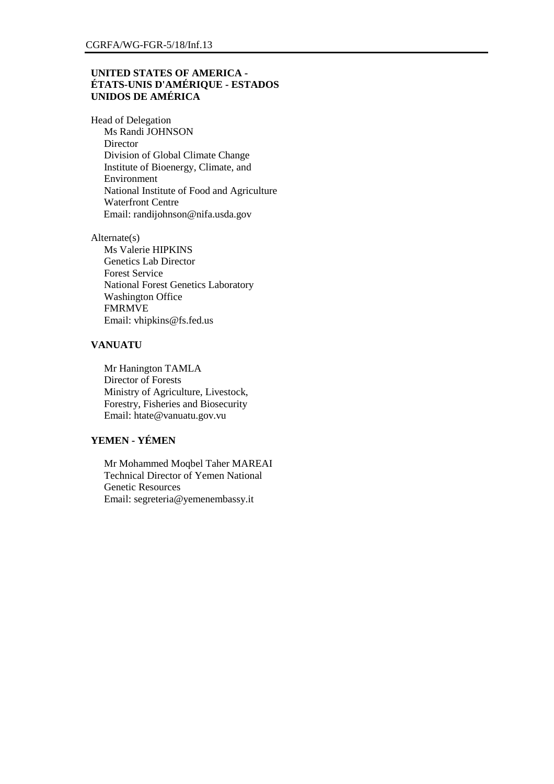#### **UNITED STATES OF AMERICA - ÉTATS-UNIS D'AMÉRIQUE - ESTADOS UNIDOS DE AMÉRICA**

Head of Delegation Ms Randi JOHNSON **Director** Division of Global Climate Change Institute of Bioenergy, Climate, and Environment National Institute of Food and Agriculture Waterfront Centre Email: randijohnson@nifa.usda.gov

Alternate(s) Ms Valerie HIPKINS Genetics Lab Director Forest Service National Forest Genetics Laboratory Washington Office FMRMVE Email: vhipkins@fs.fed.us

#### **VANUATU**

Mr Hanington TAMLA Director of Forests Ministry of Agriculture, Livestock, Forestry, Fisheries and Biosecurity Email: htate@vanuatu.gov.vu

# **YEMEN - YÉMEN**

Mr Mohammed Moqbel Taher MAREAI Technical Director of Yemen National Genetic Resources Email: segreteria@yemenembassy.it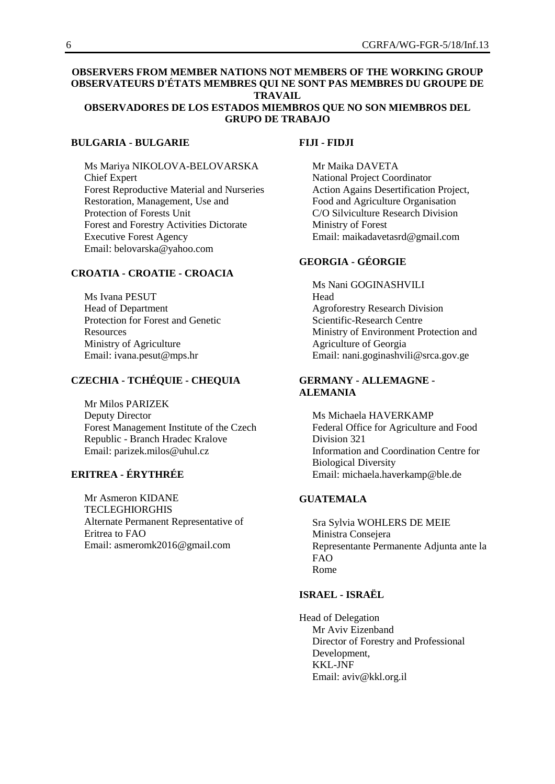# **OBSERVERS FROM MEMBER NATIONS NOT MEMBERS OF THE WORKING GROUP OBSERVATEURS D'ÉTATS MEMBRES QUI NE SONT PAS MEMBRES DU GROUPE DE TRAVAIL**

#### **OBSERVADORES DE LOS ESTADOS MIEMBROS QUE NO SON MIEMBROS DEL GRUPO DE TRABAJO**

#### **BULGARIA - BULGARIE**

Ms Mariya NIKOLOVA-BELOVARSKA Chief Expert Forest Reproductive Material and Nurseries Restoration, Management, Use and Protection of Forests Unit Forest and Forestry Activities Dictorate Executive Forest Agency Email: belovarska@yahoo.com

# **CROATIA - CROATIE - CROACIA**

Ms Ivana PESUT Head of Department Protection for Forest and Genetic **Resources** Ministry of Agriculture Email: ivana.pesut@mps.hr

#### **CZECHIA - TCHÉQUIE - CHEQUIA**

Mr Milos PARIZEK Deputy Director Forest Management Institute of the Czech Republic - Branch Hradec Kralove Email: parizek.milos@uhul.cz

# **ERITREA - ÉRYTHRÉE**

Mr Asmeron KIDANE TECLEGHIORGHIS Alternate Permanent Representative of Eritrea to FAO Email: asmeromk2016@gmail.com

#### **FIJI - FIDJI**

Mr Maika DAVETA National Project Coordinator Action Agains Desertification Project, Food and Agriculture Organisation C/O Silviculture Research Division Ministry of Forest Email: maikadavetasrd@gmail.com

# **GEORGIA - GÉORGIE**

Ms Nani GOGINASHVILI Head Agroforestry Research Division Scientific-Research Centre Ministry of Environment Protection and Agriculture of Georgia Email: nani.goginashvili@srca.gov.ge

#### **GERMANY - ALLEMAGNE - ALEMANIA**

Ms Michaela HAVERKAMP Federal Office for Agriculture and Food Division 321 Information and Coordination Centre for Biological Diversity Email: michaela.haverkamp@ble.de

# **GUATEMALA**

Sra Sylvia WOHLERS DE MEIE Ministra Consejera Representante Permanente Adjunta ante la FAO Rome

#### **ISRAEL - ISRAËL**

Head of Delegation Mr Aviv Eizenband Director of Forestry and Professional Development, KKL-JNF Email: aviv@kkl.org.il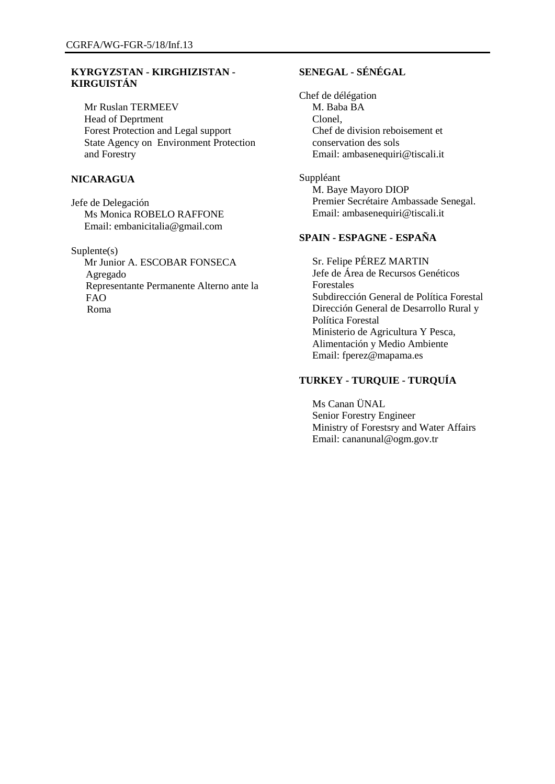## **KYRGYZSTAN - KIRGHIZISTAN - KIRGUISTÁN**

Mr Ruslan TERMEEV Head of Deprtment Forest Protection and Legal support State Agency on Environment Protection and Forestry

#### **NICARAGUA**

Jefe de Delegación Ms Monica ROBELO RAFFONE Email: embanicitalia@gmail.com

Suplente(s)

Mr Junior A. ESCOBAR FONSECA Agregado Representante Permanente Alterno ante la FAO Roma

# **SENEGAL - SÉNÉGAL**

Chef de délégation M. Baba BA Clonel, Chef de division reboisement et conservation des sols Email: ambasenequiri@tiscali.it

Suppléant M. Baye Mayoro DIOP Premier Secrétaire Ambassade Senegal. Email: ambasenequiri@tiscali.it

# **SPAIN - ESPAGNE - ESPAÑA**

Sr. Felipe PÉREZ MARTIN Jefe de Área de Recursos Genéticos Forestales Subdirección General de Política Forestal Dirección General de Desarrollo Rural y Política Forestal Ministerio de Agricultura Y Pesca, Alimentación y Medio Ambiente Email: fperez@mapama.es

## **TURKEY - TURQUIE - TURQUÍA**

Ms Canan ÜNAL Senior Forestry Engineer Ministry of Forestsry and Water Affairs Email: cananunal@ogm.gov.tr